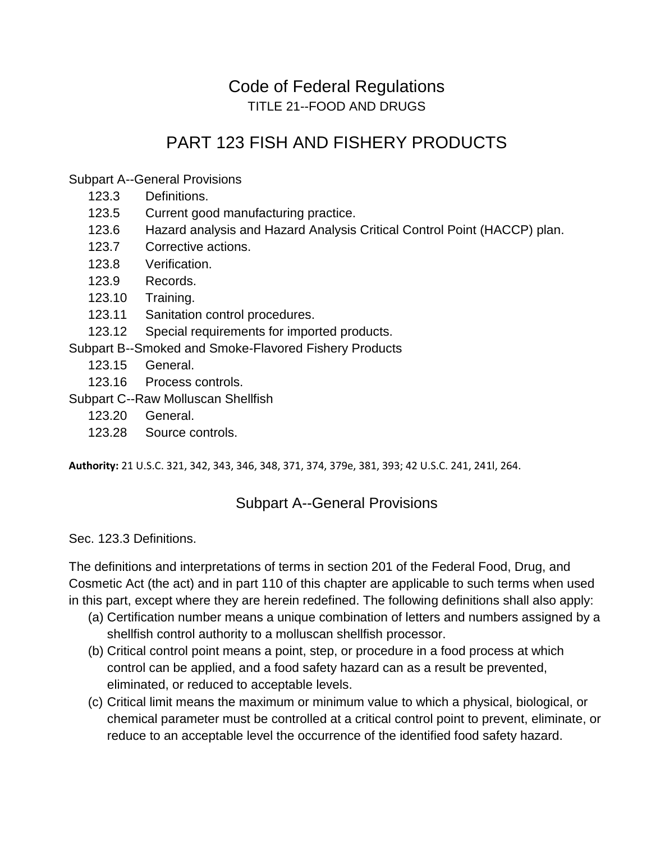## Code of Federal Regulations TITLE 21--FOOD AND DRUGS

# PART 123 FISH AND FISHERY PRODUCTS

Subpart A--General Provisions

- 123.3 Definitions.
- Current good manufacturing practice.
- 123.5 Current good manufacturing practice.<br>123.6 Hazard analysis and Hazard Analysis Critical Control Point (HACCP) plan.
- 123.7 Corrective actions.
- Verification.
- Records. 123.8 Verification.<br>123.9 Records.<br>123.10 Training.
- 
- 123.11 Sanitation control procedures.
- 123.12 Special requirements for imported products.

Subpart B--Smoked and Smoke-Flavored Fishery Products

- 123.15 General.
- Process controls.

123.16 Process controls. Subpart C--Raw Molluscan Shellfish

- 123.20 General.
- 123.28 Source controls.

**Authority:** 21 U.S.C. 321, 342, 343, 346, 348, 371, 374, 379e, 381, 393; 42 U.S.C. 241, 241l, 264.

### Subpart A--General Provisions

Sec. 123.3 Definitions.

The definitions and interpretations of terms in section 201 of the Federal Food, Drug, and Cosmetic Act (the act) and in part 110 of this chapter are applicable to such terms when used in this part, except where they are herein redefined. The following definitions shall also apply:

- (a) Certification number means a unique combination of letters and numbers assigned by a shellfish control authority to a molluscan shellfish processor.
- control can be applied, and a food safety hazard can as a result be prevented, (b) Critical control point means a point, step, or procedure in a food process at which eliminated, or reduced to acceptable levels.
- reduce to an acceptable level the occurrence of the identified food safety hazard. (c) Critical limit means the maximum or minimum value to which a physical, biological, or chemical parameter must be controlled at a critical control point to prevent, eliminate, or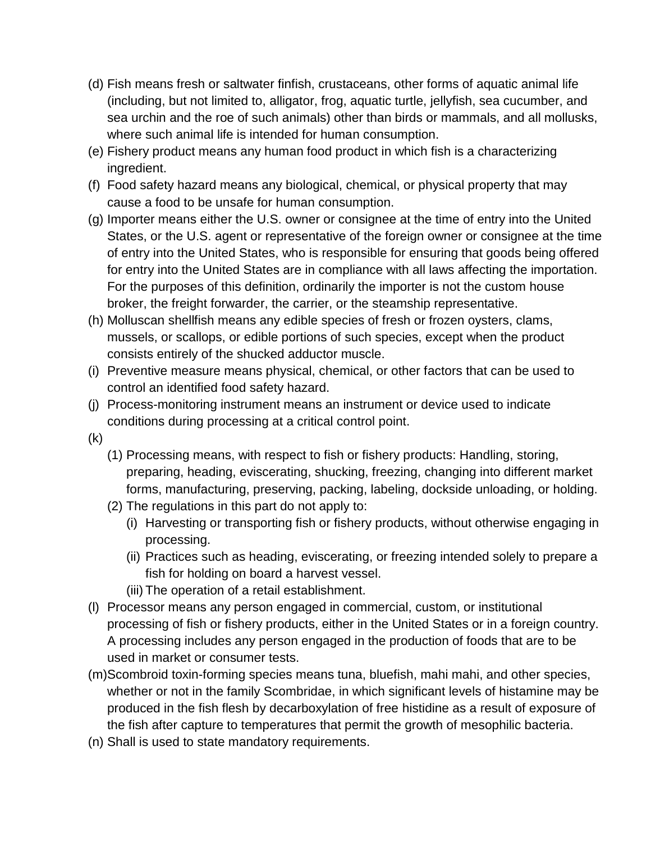- where such animal life is intended for human consumption. (d) Fish means fresh or saltwater finfish, crustaceans, other forms of aquatic animal life (including, but not limited to, alligator, frog, aquatic turtle, jellyfish, sea cucumber, and sea urchin and the roe of such animals) other than birds or mammals, and all mollusks,
- (e) Fishery product means any human food product in which fish is a characterizing ingredient.
- cause a food to be unsafe for human consumption. (f) Food safety hazard means any biological, chemical, or physical property that may
- States, or the U.S. agent or representative of the foreign owner or consignee at the time for entry into the United States are in compliance with all laws affecting the importation. (g) Importer means either the U.S. owner or consignee at the time of entry into the United of entry into the United States, who is responsible for ensuring that goods being offered For the purposes of this definition, ordinarily the importer is not the custom house broker, the freight forwarder, the carrier, or the steamship representative.
- (h) Molluscan shellfish means any edible species of fresh or frozen oysters, clams, mussels, or scallops, or edible portions of such species, except when the product consists entirely of the shucked adductor muscle.
- (i) Preventive measure means physical, chemical, or other factors that can be used to control an identified food safety hazard.
- (j) Process-monitoring instrument means an instrument or device used to indicate conditions during processing at a critical control point.
- $(k)$ 
	- (1) Processing means, with respect to fish or fishery products: Handling, storing, preparing, heading, eviscerating, shucking, freezing, changing into different market forms, manufacturing, preserving, packing, labeling, dockside unloading, or holding.
	- (2) The regulations in this part do not apply to:
		- (i) Harvesting or transporting fish or fishery products, without otherwise engaging in processing.
		- (ii) Practices such as heading, eviscerating, or freezing intended solely to prepare a fish for holding on board a harvest vessel.
		- (iii) The operation of a retail establishment.
- (l) Processor means any person engaged in commercial, custom, or institutional processing of fish or fishery products, either in the United States or in a foreign country. A processing includes any person engaged in the production of foods that are to be used in market or consumer tests.
- produced in the fish flesh by decarboxylation of free histidine as a result of exposure of (m)Scombroid toxin-forming species means tuna, bluefish, mahi mahi, and other species, whether or not in the family Scombridae, in which significant levels of histamine may be the fish after capture to temperatures that permit the growth of mesophilic bacteria.
- (n) Shall is used to state mandatory requirements.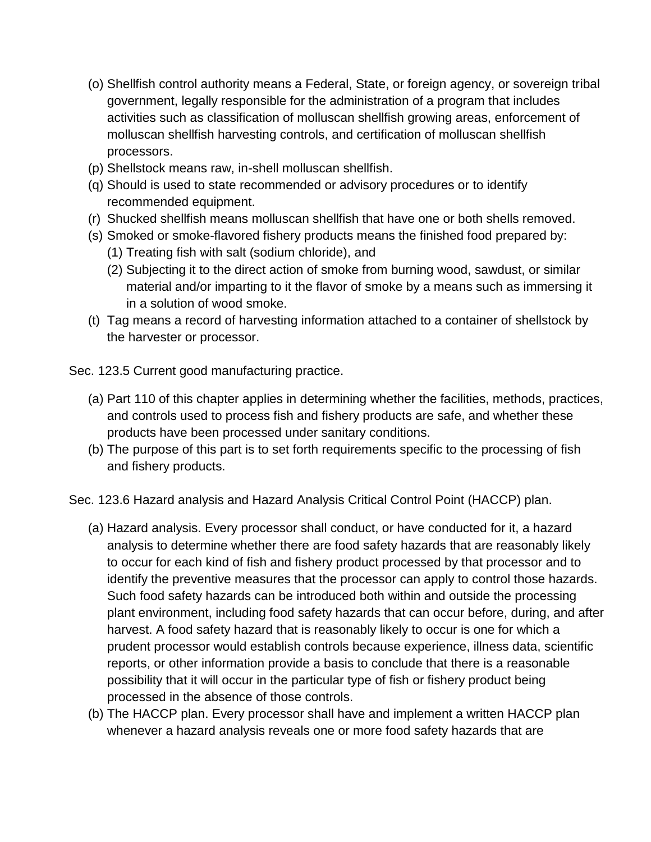- government, legally responsible for the administration of a program that includes activities such as classification of molluscan shellfish growing areas, enforcement of molluscan shellfish harvesting controls, and certification of molluscan shellfish (o) Shellfish control authority means a Federal, State, or foreign agency, or sovereign tribal processors.
- (p) Shellstock means raw, in-shell molluscan shellfish.
- (q) Should is used to state recommended or advisory procedures or to identify recommended equipment.
- (r) Shucked shellfish means molluscan shellfish that have one or both shells removed.
- (s) Smoked or smoke-flavored fishery products means the finished food prepared by:
	- (1) Treating fish with salt (sodium chloride), and
	- (2) Subjecting it to the direct action of smoke from burning wood, sawdust, or similar material and/or imparting to it the flavor of smoke by a means such as immersing it in a solution of wood smoke.
- (t) Tag means a record of harvesting information attached to a container of shellstock by the harvester or processor.

Sec. 123.5 Current good manufacturing practice.

- (a) Part 110 of this chapter applies in determining whether the facilities, methods, practices, and controls used to process fish and fishery products are safe, and whether these products have been processed under sanitary conditions.
- (b) The purpose of this part is to set forth requirements specific to the processing of fish and fishery products.

Sec. 123.6 Hazard analysis and Hazard Analysis Critical Control Point (HACCP) plan.

- (a) Hazard analysis. Every processor shall conduct, or have conducted for it, a hazard to occur for each kind of fish and fishery product processed by that processor and to harvest. A food safety hazard that is reasonably likely to occur is one for which a reports, or other information provide a basis to conclude that there is a reasonable processed in the absence of those controls. analysis to determine whether there are food safety hazards that are reasonably likely identify the preventive measures that the processor can apply to control those hazards. Such food safety hazards can be introduced both within and outside the processing plant environment, including food safety hazards that can occur before, during, and after prudent processor would establish controls because experience, illness data, scientific possibility that it will occur in the particular type of fish or fishery product being
- (b) The HACCP plan. Every processor shall have and implement a written HACCP plan whenever a hazard analysis reveals one or more food safety hazards that are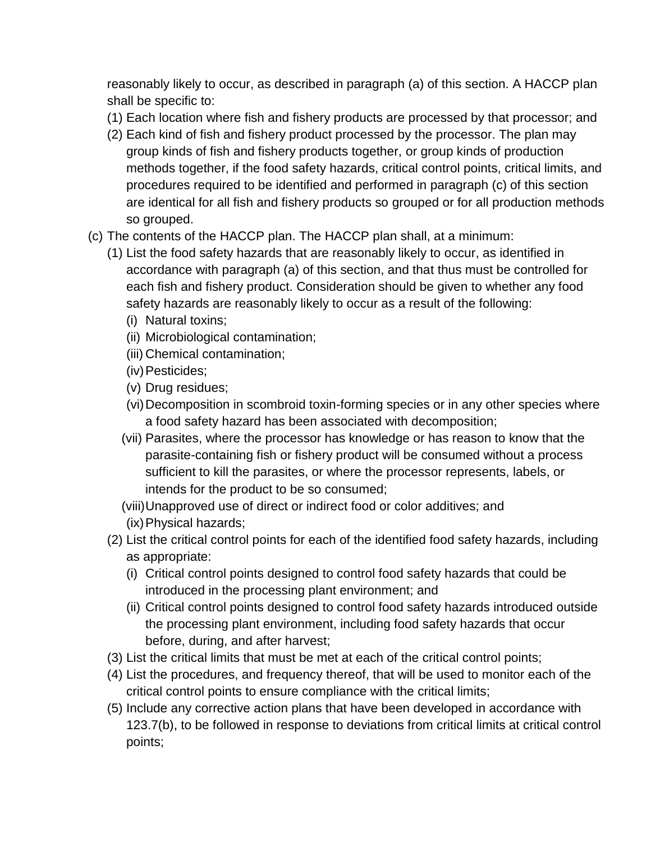reasonably likely to occur, as described in paragraph (a) of this section. A HACCP plan shall be specific to:

- (1) Each location where fish and fishery products are processed by that processor; and
- (2) Each kind of fish and fishery product processed by the processor. The plan may group kinds of fish and fishery products together, or group kinds of production methods together, if the food safety hazards, critical control points, critical limits, and procedures required to be identified and performed in paragraph (c) of this section are identical for all fish and fishery products so grouped or for all production methods so grouped.
- (c) The contents of the HACCP plan. The HACCP plan shall, at a minimum:
	- (1) List the food safety hazards that are reasonably likely to occur, as identified in accordance with paragraph (a) of this section, and that thus must be controlled for each fish and fishery product. Consideration should be given to whether any food safety hazards are reasonably likely to occur as a result of the following:
		- (i) Natural toxins;
		- (ii) Microbiological contamination;
		- (iii) Chemical contamination;
		- (iv)Pesticides;
		- (v) Drug residues;
		- (vi)Decomposition in scombroid toxin-forming species or in any other species where a food safety hazard has been associated with decomposition;
		- intends for the product to be so consumed; (vii) Parasites, where the processor has knowledge or has reason to know that the parasite-containing fish or fishery product will be consumed without a process sufficient to kill the parasites, or where the processor represents, labels, or
		- (viii)Unapproved use of direct or indirect food or color additives; and
		- (ix)Physical hazards;
	- (2) List the critical control points for each of the identified food safety hazards, including as appropriate:
		- (i) Critical control points designed to control food safety hazards that could be introduced in the processing plant environment; and
		- before, during, and after harvest; (ii) Critical control points designed to control food safety hazards introduced outside the processing plant environment, including food safety hazards that occur
	- (3) List the critical limits that must be met at each of the critical control points;
	- (4) List the procedures, and frequency thereof, that will be used to monitor each of the critical control points to ensure compliance with the critical limits;
	- (5) Include any corrective action plans that have been developed in accordance with 123.7(b), to be followed in response to deviations from critical limits at critical control points;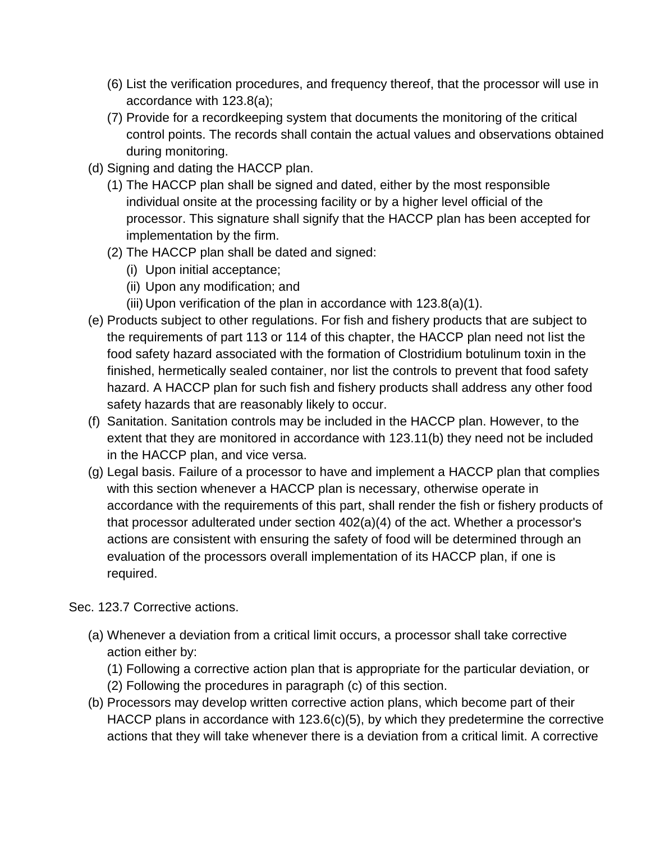- (6) List the verification procedures, and frequency thereof, that the processor will use in accordance with 123.8(a);
- (7) Provide for a recordkeeping system that documents the monitoring of the critical control points. The records shall contain the actual values and observations obtained during monitoring.
- (d) Signing and dating the HACCP plan.
	- individual onsite at the processing facility or by a higher level official of the implementation by the firm. (1) The HACCP plan shall be signed and dated, either by the most responsible processor. This signature shall signify that the HACCP plan has been accepted for
	- (2) The HACCP plan shall be dated and signed:
		- (i) Upon initial acceptance;
		- (ii) Upon any modification; and
		- (iii) Upon verification of the plan in accordance with 123.8(a)(1).
- the requirements of part 113 or 114 of this chapter, the HACCP plan need not list the food safety hazard associated with the formation of Clostridium botulinum toxin in the hazard. A HACCP plan for such fish and fishery products shall address any other food (e) Products subject to other regulations. For fish and fishery products that are subject to finished, hermetically sealed container, nor list the controls to prevent that food safety safety hazards that are reasonably likely to occur.
- (f) Sanitation. Sanitation controls may be included in the HACCP plan. However, to the extent that they are monitored in accordance with 123.11(b) they need not be included in the HACCP plan, and vice versa.
- evaluation of the processors overall implementation of its HACCP plan, if one is (g) Legal basis. Failure of a processor to have and implement a HACCP plan that complies with this section whenever a HACCP plan is necessary, otherwise operate in accordance with the requirements of this part, shall render the fish or fishery products of that processor adulterated under section 402(a)(4) of the act. Whether a processor's actions are consistent with ensuring the safety of food will be determined through an required.

Sec. 123.7 Corrective actions.

- action either by: (a) Whenever a deviation from a critical limit occurs, a processor shall take corrective
	- (1) Following a corrective action plan that is appropriate for the particular deviation, or
	- (2) Following the procedures in paragraph (c) of this section.
- (b) Processors may develop written corrective action plans, which become part of their actions that they will take whenever there is a deviation from a critical limit. A corrective HACCP plans in accordance with 123.6(c)(5), by which they predetermine the corrective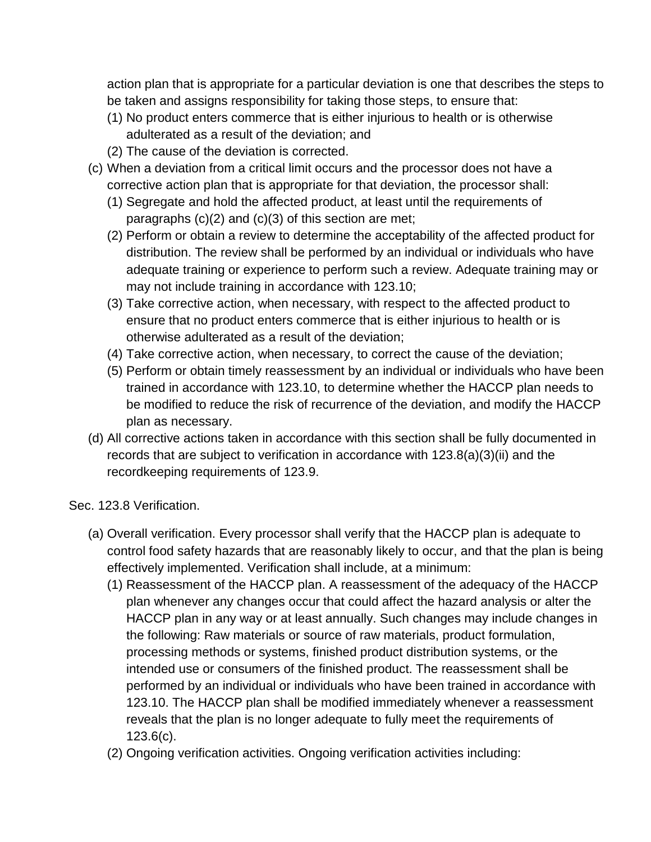action plan that is appropriate for a particular deviation is one that describes the steps to be taken and assigns responsibility for taking those steps, to ensure that:

- adulterated as a result of the deviation; and (1) No product enters commerce that is either injurious to health or is otherwise
- (2) The cause of the deviation is corrected.
- (c) When a deviation from a critical limit occurs and the processor does not have a corrective action plan that is appropriate for that deviation, the processor shall:
	- (1) Segregate and hold the affected product, at least until the requirements of paragraphs  $(c)(2)$  and  $(c)(3)$  of this section are met;
	- (2) Perform or obtain a review to determine the acceptability of the affected product for distribution. The review shall be performed by an individual or individuals who have adequate training or experience to perform such a review. Adequate training may or may not include training in accordance with 123.10;
	- (3) Take corrective action, when necessary, with respect to the affected product to ensure that no product enters commerce that is either injurious to health or is otherwise adulterated as a result of the deviation;
	- (4) Take corrective action, when necessary, to correct the cause of the deviation;
	- (5) Perform or obtain timely reassessment by an individual or individuals who have been trained in accordance with 123.10, to determine whether the HACCP plan needs to be modified to reduce the risk of recurrence of the deviation, and modify the HACCP plan as necessary.
- (d) All corrective actions taken in accordance with this section shall be fully documented in records that are subject to verification in accordance with 123.8(a)(3)(ii) and the recordkeeping requirements of 123.9.
- Sec. 123.8 Verification.
	- (a) Overall verification. Every processor shall verify that the HACCP plan is adequate to effectively implemented. Verification shall include, at a minimum: control food safety hazards that are reasonably likely to occur, and that the plan is being
		- intended use or consumers of the finished product. The reassessment shall be (1) Reassessment of the HACCP plan. A reassessment of the adequacy of the HACCP plan whenever any changes occur that could affect the hazard analysis or alter the HACCP plan in any way or at least annually. Such changes may include changes in the following: Raw materials or source of raw materials, product formulation, processing methods or systems, finished product distribution systems, or the performed by an individual or individuals who have been trained in accordance with 123.10. The HACCP plan shall be modified immediately whenever a reassessment reveals that the plan is no longer adequate to fully meet the requirements of 123.6(c).
		- (2) Ongoing verification activities. Ongoing verification activities including: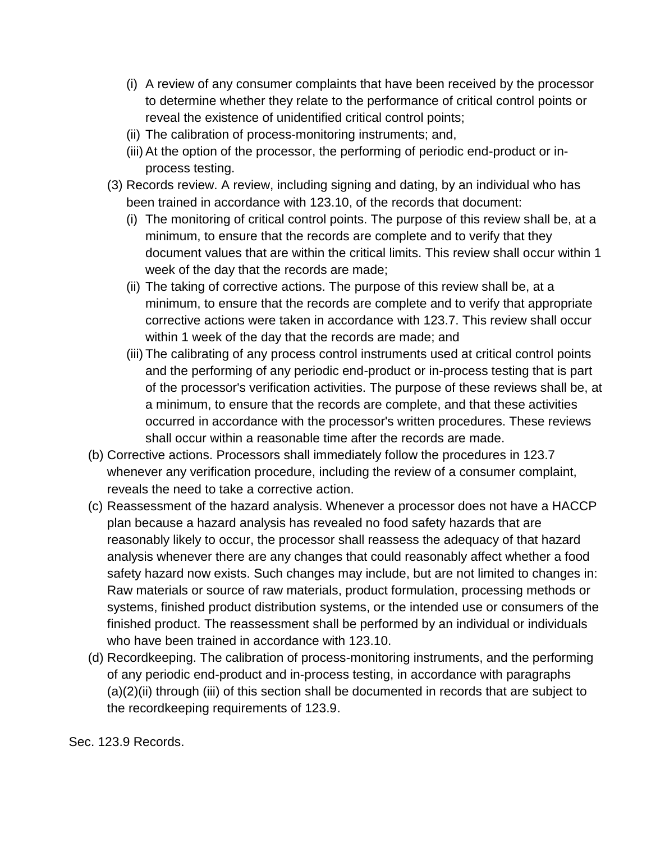- (i) A review of any consumer complaints that have been received by the processor to determine whether they relate to the performance of critical control points or reveal the existence of unidentified critical control points;
- (ii) The calibration of process-monitoring instruments; and,
- (iii) At the option of the processor, the performing of periodic end-product or inprocess testing.
- (3) Records review. A review, including signing and dating, by an individual who has been trained in accordance with 123.10, of the records that document:
	- (i) The monitoring of critical control points. The purpose of this review shall be, at a minimum, to ensure that the records are complete and to verify that they document values that are within the critical limits. This review shall occur within 1 week of the day that the records are made;
	- (ii) The taking of corrective actions. The purpose of this review shall be, at a minimum, to ensure that the records are complete and to verify that appropriate corrective actions were taken in accordance with 123.7. This review shall occur within 1 week of the day that the records are made; and
	- (iii) The calibrating of any process control instruments used at critical control points and the performing of any periodic end-product or in-process testing that is part of the processor's verification activities. The purpose of these reviews shall be, at a minimum, to ensure that the records are complete, and that these activities occurred in accordance with the processor's written procedures. These reviews shall occur within a reasonable time after the records are made.
- (b) Corrective actions. Processors shall immediately follow the procedures in 123.7 whenever any verification procedure, including the review of a consumer complaint, reveals the need to take a corrective action.
- plan because a hazard analysis has revealed no food safety hazards that are systems, finished product distribution systems, or the intended use or consumers of the finished product. The reassessment shall be performed by an individual or individuals (c) Reassessment of the hazard analysis. Whenever a processor does not have a HACCP reasonably likely to occur, the processor shall reassess the adequacy of that hazard analysis whenever there are any changes that could reasonably affect whether a food safety hazard now exists. Such changes may include, but are not limited to changes in: Raw materials or source of raw materials, product formulation, processing methods or who have been trained in accordance with 123.10.
- (d) Recordkeeping. The calibration of process-monitoring instruments, and the performing of any periodic end-product and in-process testing, in accordance with paragraphs (a)(2)(ii) through (iii) of this section shall be documented in records that are subject to the recordkeeping requirements of 123.9.

Sec. 123.9 Records.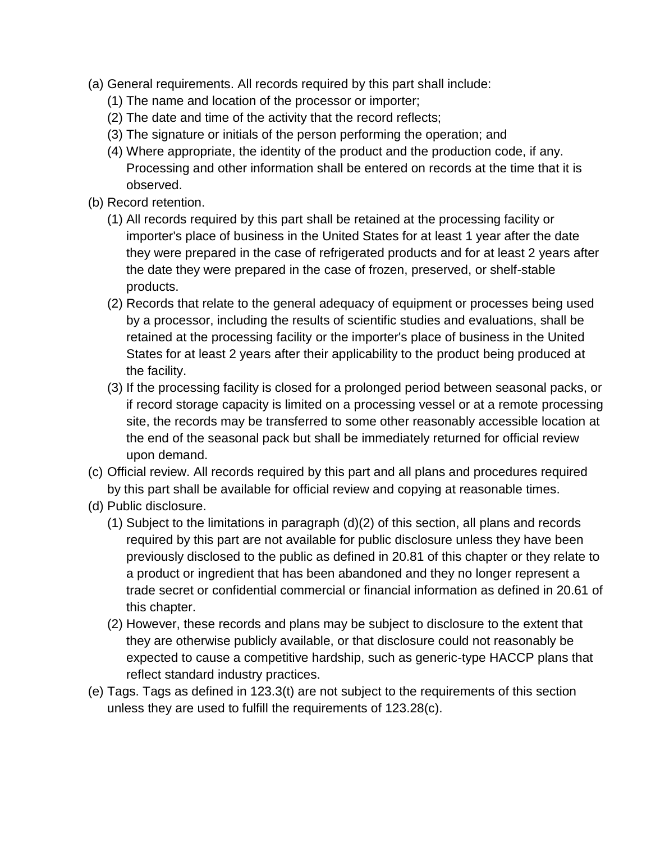- (a) General requirements. All records required by this part shall include:
	- (1) The name and location of the processor or importer;
	- (2) The date and time of the activity that the record reflects;
	- (3) The signature or initials of the person performing the operation; and
	- Processing and other information shall be entered on records at the time that it is (4) Where appropriate, the identity of the product and the production code, if any. observed.
- (b) Record retention.
	- (1) All records required by this part shall be retained at the processing facility or importer's place of business in the United States for at least 1 year after the date they were prepared in the case of refrigerated products and for at least 2 years after the date they were prepared in the case of frozen, preserved, or shelf-stable products.
	- the facility. (2) Records that relate to the general adequacy of equipment or processes being used by a processor, including the results of scientific studies and evaluations, shall be retained at the processing facility or the importer's place of business in the United States for at least 2 years after their applicability to the product being produced at
	- the end of the seasonal pack but shall be immediately returned for official review (3) If the processing facility is closed for a prolonged period between seasonal packs, or if record storage capacity is limited on a processing vessel or at a remote processing site, the records may be transferred to some other reasonably accessible location at upon demand.
- (c) Official review. All records required by this part and all plans and procedures required by this part shall be available for official review and copying at reasonable times.
- (d) Public disclosure.
	- (1) Subject to the limitations in paragraph (d)(2) of this section, all plans and records a product or ingredient that has been abandoned and they no longer represent a required by this part are not available for public disclosure unless they have been previously disclosed to the public as defined in 20.81 of this chapter or they relate to trade secret or confidential commercial or financial information as defined in 20.61 of this chapter.
	- expected to cause a competitive hardship, such as generic-type HACCP plans that (2) However, these records and plans may be subject to disclosure to the extent that they are otherwise publicly available, or that disclosure could not reasonably be reflect standard industry practices.
- unless they are used to fulfill the requirements of 123.28(c). (e) Tags. Tags as defined in 123.3(t) are not subject to the requirements of this section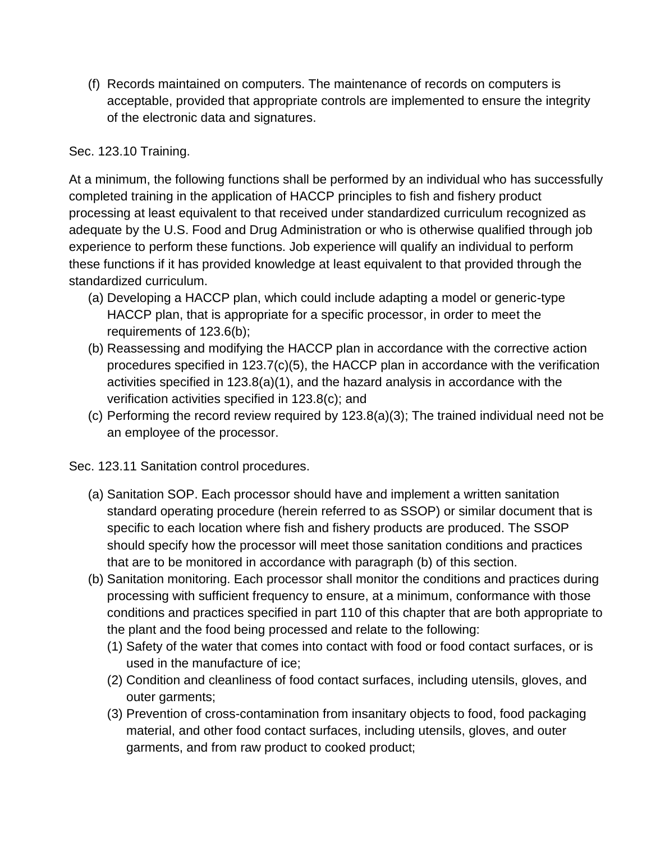(f) Records maintained on computers. The maintenance of records on computers is acceptable, provided that appropriate controls are implemented to ensure the integrity of the electronic data and signatures.

#### Sec. 123.10 Training.

 completed training in the application of HACCP principles to fish and fishery product adequate by the U.S. Food and Drug Administration or who is otherwise qualified through job experience to perform these functions. Job experience will qualify an individual to perform these functions if it has provided knowledge at least equivalent to that provided through the At a minimum, the following functions shall be performed by an individual who has successfully processing at least equivalent to that received under standardized curriculum recognized as standardized curriculum.

- requirements of 123.6(b); (a) Developing a HACCP plan, which could include adapting a model or generic-type HACCP plan, that is appropriate for a specific processor, in order to meet the
- (b) Reassessing and modifying the HACCP plan in accordance with the corrective action procedures specified in 123.7(c)(5), the HACCP plan in accordance with the verification activities specified in 123.8(a)(1), and the hazard analysis in accordance with the verification activities specified in 123.8(c); and
- (c) Performing the record review required by 123.8(a)(3); The trained individual need not be an employee of the processor.

Sec. 123.11 Sanitation control procedures.

- Sec. 123.11 Sanitation control procedures. (a) Sanitation SOP. Each processor should have and implement a written sanitation standard operating procedure (herein referred to as SSOP) or similar document that is specific to each location where fish and fishery products are produced. The SSOP should specify how the processor will meet those sanitation conditions and practices that are to be monitored in accordance with paragraph (b) of this section.
	- (b) Sanitation monitoring. Each processor shall monitor the conditions and practices during the plant and the food being processed and relate to the following: processing with sufficient frequency to ensure, at a minimum, conformance with those conditions and practices specified in part 110 of this chapter that are both appropriate to
		- (1) Safety of the water that comes into contact with food or food contact surfaces, or is used in the manufacture of ice;
		- (2) Condition and cleanliness of food contact surfaces, including utensils, gloves, and outer garments;
		- garments, and from raw product to cooked product; (3) Prevention of cross-contamination from insanitary objects to food, food packaging material, and other food contact surfaces, including utensils, gloves, and outer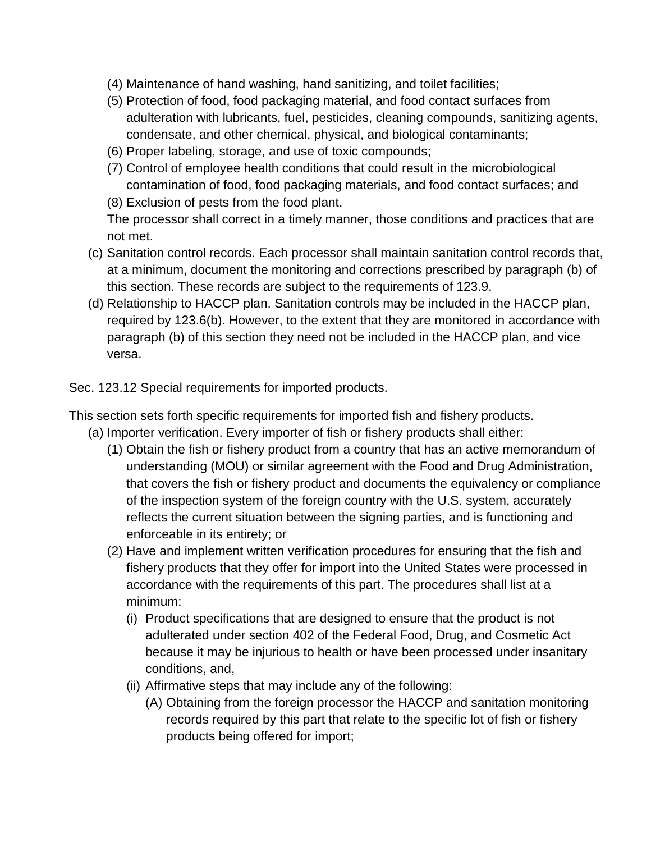- (4) Maintenance of hand washing, hand sanitizing, and toilet facilities;
- (5) Protection of food, food packaging material, and food contact surfaces from adulteration with lubricants, fuel, pesticides, cleaning compounds, sanitizing agents, condensate, and other chemical, physical, and biological contaminants;
- (6) Proper labeling, storage, and use of toxic compounds;
- contamination of food, food packaging materials, and food contact surfaces; and (7) Control of employee health conditions that could result in the microbiological
- (8) Exclusion of pests from the food plant.

The processor shall correct in a timely manner, those conditions and practices that are not met.

- (c) Sanitation control records. Each processor shall maintain sanitation control records that, this section. These records are subject to the requirements of 123.9. at a minimum, document the monitoring and corrections prescribed by paragraph (b) of
- paragraph (b) of this section they need not be included in the HACCP plan, and vice versa. (d) Relationship to HACCP plan. Sanitation controls may be included in the HACCP plan, required by 123.6(b). However, to the extent that they are monitored in accordance with

Sec. 123.12 Special requirements for imported products.

This section sets forth specific requirements for imported fish and fishery products.

(a) Importer verification. Every importer of fish or fishery products shall either:

- (1) Obtain the fish or fishery product from a country that has an active memorandum of reflects the current situation between the signing parties, and is functioning and understanding (MOU) or similar agreement with the Food and Drug Administration, that covers the fish or fishery product and documents the equivalency or compliance of the inspection system of the foreign country with the U.S. system, accurately enforceable in its entirety; or
- (2) Have and implement written verification procedures for ensuring that the fish and fishery products that they offer for import into the United States were processed in accordance with the requirements of this part. The procedures shall list at a minimum:
	- (i) Product specifications that are designed to ensure that the product is not adulterated under section 402 of the Federal Food, Drug, and Cosmetic Act because it may be injurious to health or have been processed under insanitary conditions, and,
	- (ii) Affirmative steps that may include any of the following:
		- (A) Obtaining from the foreign processor the HACCP and sanitation monitoring products being offered for import; records required by this part that relate to the specific lot of fish or fishery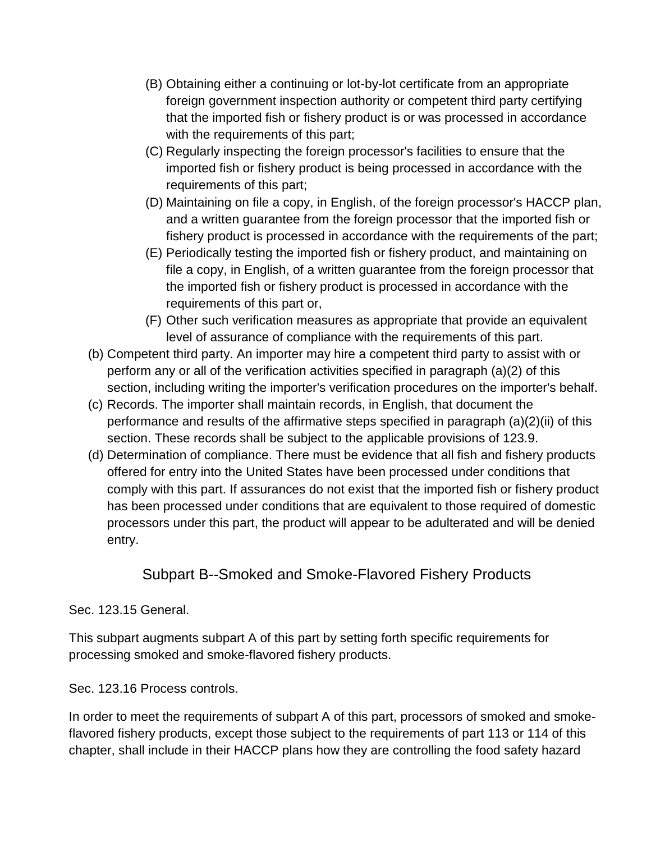- (B) Obtaining either a continuing or lot-by-lot certificate from an appropriate foreign government inspection authority or competent third party certifying that the imported fish or fishery product is or was processed in accordance with the requirements of this part;
- imported fish or fishery product is being processed in accordance with the requirements of this part; (C) Regularly inspecting the foreign processor's facilities to ensure that the
- (D) Maintaining on file a copy, in English, of the foreign processor's HACCP plan, and a written guarantee from the foreign processor that the imported fish or fishery product is processed in accordance with the requirements of the part;
- file a copy, in English, of a written guarantee from the foreign processor that requirements of this part or, (E) Periodically testing the imported fish or fishery product, and maintaining on the imported fish or fishery product is processed in accordance with the
- level of assurance of compliance with the requirements of this part. (F) Other such verification measures as appropriate that provide an equivalent
- (b) Competent third party. An importer may hire a competent third party to assist with or perform any or all of the verification activities specified in paragraph (a)(2) of this section, including writing the importer's verification procedures on the importer's behalf.
- (c) Records. The importer shall maintain records, in English, that document the section. These records shall be subject to the applicable provisions of 123.9. performance and results of the affirmative steps specified in paragraph (a)(2)(ii) of this
- (d) Determination of compliance. There must be evidence that all fish and fishery products offered for entry into the United States have been processed under conditions that processors under this part, the product will appear to be adulterated and will be denied comply with this part. If assurances do not exist that the imported fish or fishery product has been processed under conditions that are equivalent to those required of domestic entry.

## Subpart B--Smoked and Smoke-Flavored Fishery Products

#### Sec. 123.15 General.

processing smoked and smoke-flavored fishery products.<br>Sec. 123.16 Process controls. This subpart augments subpart A of this part by setting forth specific requirements for

In order to meet the requirements of subpart A of this part, processors of smoked and smokeflavored fishery products, except those subject to the requirements of part 113 or 114 of this chapter, shall include in their HACCP plans how they are controlling the food safety hazard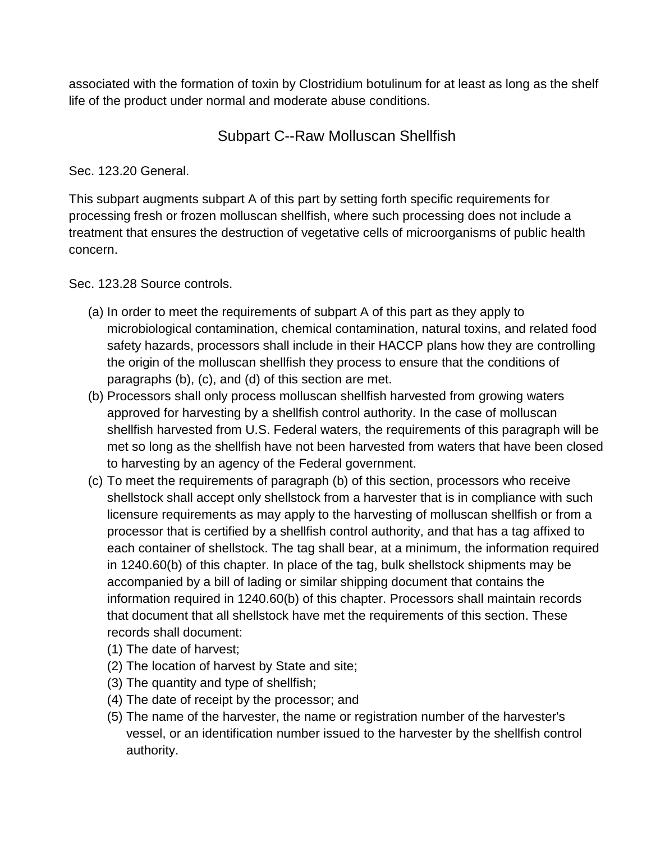associated with the formation of toxin by Clostridium botulinum for at least as long as the shelf life of the product under normal and moderate abuse conditions.

## Subpart C--Raw Molluscan Shellfish

Sec. 123.20 General.

 processing fresh or frozen molluscan shellfish, where such processing does not include a treatment that ensures the destruction of vegetative cells of microorganisms of public health concern. This subpart augments subpart A of this part by setting forth specific requirements for

Sec. 123.28 Source controls.

- (a) In order to meet the requirements of subpart A of this part as they apply to microbiological contamination, chemical contamination, natural toxins, and related food paragraphs (b), (c), and (d) of this section are met. safety hazards, processors shall include in their HACCP plans how they are controlling the origin of the molluscan shellfish they process to ensure that the conditions of
- approved for harvesting by a shellfish control authority. In the case of molluscan (b) Processors shall only process molluscan shellfish harvested from growing waters shellfish harvested from U.S. Federal waters, the requirements of this paragraph will be met so long as the shellfish have not been harvested from waters that have been closed to harvesting by an agency of the Federal government.
- licensure requirements as may apply to the harvesting of molluscan shellfish or from a in 1240.60(b) of this chapter. In place of the tag, bulk shellstock shipments may be records shall document: (c) To meet the requirements of paragraph (b) of this section, processors who receive shellstock shall accept only shellstock from a harvester that is in compliance with such processor that is certified by a shellfish control authority, and that has a tag affixed to each container of shellstock. The tag shall bear, at a minimum, the information required accompanied by a bill of lading or similar shipping document that contains the information required in 1240.60(b) of this chapter. Processors shall maintain records that document that all shellstock have met the requirements of this section. These
	- (1) The date of harvest;
	- (2) The location of harvest by State and site;
	- (3) The quantity and type of shellfish;
	- (4) The date of receipt by the processor; and
	- (5) The name of the harvester, the name or registration number of the harvester's vessel, or an identification number issued to the harvester by the shellfish control authority.